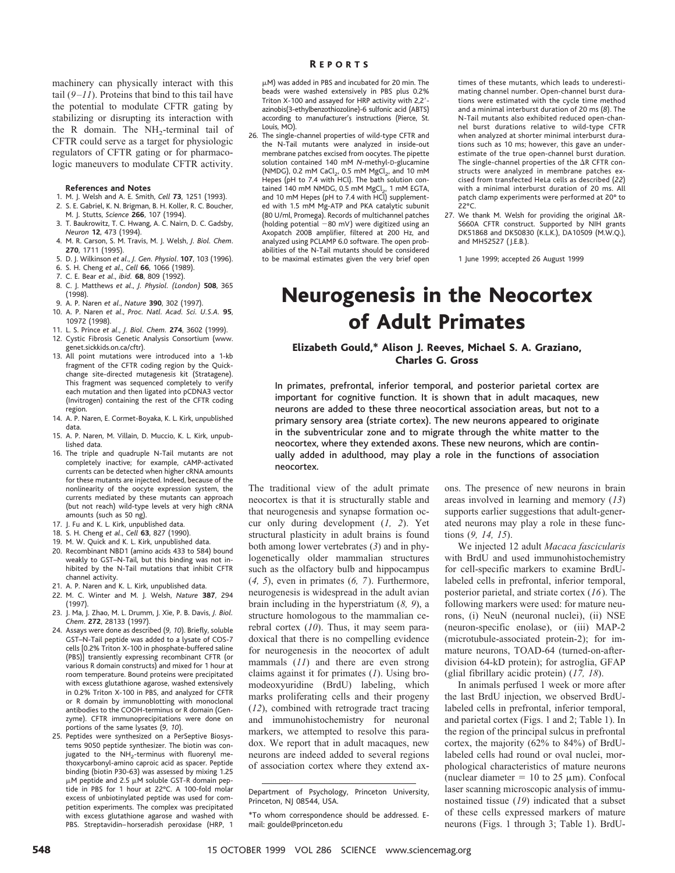machinery can physically interact with this tail  $(9-11)$ . Proteins that bind to this tail have the potential to modulate CFTR gating by stabilizing or disrupting its interaction with the R domain. The  $NH<sub>2</sub>$ -terminal tail of CFTR could serve as a target for physiologic regulators of CFTR gating or for pharmacologic maneuvers to modulate CFTR activity.

#### **References and Notes**

- 1. M. J. Welsh and A. E. Smith, *Cell* **73**, 1251 (1993). 2. S. E. Gabriel, K. N. Brigman, B. H. Koller, R. C. Boucher,
- M. J. Stutts, *Science* **266**, 107 (1994).
- 3. T. Baukrowitz, T. C. Hwang, A. C. Nairn, D. C. Gadsby, *Neuron* **12**, 473 (1994).
- 4. M. R. Carson, S. M. Travis, M. J. Welsh, *J. Biol. Chem*. **270**, 1711 (1995).
- 5. D. J. Wilkinson *et al*., *J. Gen. Physiol*. **107**, 103 (1996).
- 6. S. H. Cheng *et al*., *Cell* **66**, 1066 (1989).
- 7. C. E. Bear *et al*., *ibid.* **68**, 809 (1992).
- 8. C. J. Matthews *et al*., *J. Physiol. (London)* **508**, 365 (1998).
- 9. A. P. Naren *et al*., *Nature* **390**, 302 (1997).
- 10. A. P. Naren *et al*., *Proc. Natl. Acad. Sci. U.S.A.* **95**, 10972 (1998).
- 11. L. S. Prince *et al*., *J. Biol. Chem.* **274**, 3602 (1999).
- 12. Cystic Fibrosis Genetic Analysis Consortium (www. genet.sickkids.on.ca/cftr).
- 13. All point mutations were introduced into a 1-kb fragment of the CFTR coding region by the Quickchange site-directed mutagenesis kit (Stratagene). This fragment was sequenced completely to verify each mutation and then ligated into pCDNA3 vector (Invitrogen) containing the rest of the CFTR coding region.
- 14. A. P. Naren, E. Cormet-Boyaka, K. L. Kirk, unpublished data.
- 15. A. P. Naren, M. Villain, D. Muccio, K. L. Kirk, unpublished data.
- 16. The triple and quadruple N-Tail mutants are not completely inactive; for example, cAMP-activated currents can be detected when higher cRNA amounts for these mutants are injected. Indeed, because of the nonlinearity of the oocyte expression system, the currents mediated by these mutants can approach (but not reach) wild-type levels at very high cRNA amounts (such as 50 ng).
- 17. J. Fu and K. L. Kirk, unpublished data.
- 18. S. H. Cheng *et al*., *Cell* **63**, 827 (1990).
- 19. M. W. Quick and K. L. Kirk, unpublished data.
- 20. Recombinant NBD1 (amino acids 433 to 584) bound weakly to GST–N-Tail, but this binding was not inhibited by the N-Tail mutations that inhibit CFTR channel activity.
- 21. A. P. Naren and K. L. Kirk, unpublished data.
- 22. M. C. Winter and M. J. Welsh, *Nature* **387**, 294 (1997). 23. J. Ma, J. Zhao, M. L. Drumm, J. Xie, P. B. Davis, *J. Biol.*
- *Chem*. **272**, 28133 (1997). 24. Assays were done as described (*9, 10*). Briefly, soluble
- GST–N-Tail peptide was added to a lysate of COS-7 cells [0.2% Triton X-100 in phosphate-buffered saline (PBS)] transiently expressing recombinant CFTR (or various R domain constructs) and mixed for 1 hour at room temperature. Bound proteins were precipitated with excess glutathione agarose, washed extensively in 0.2% Triton X-100 in PBS, and analyzed for CFTR or R domain by immunoblotting with monoclonal antibodies to the COOH-terminus or R domain (Genzyme). CFTR immunoprecipitations were done on portions of the same lysates (*9, 10*).
- 25. Peptides were synthesized on a PerSeptive Biosystems 9050 peptide synthesizer. The biotin was conjugated to the NH<sub>2</sub>-terminus with fluorenyl methoxycarbonyl-amino caproic acid as spacer. Peptide binding (biotin P30-63) was assessed by mixing 1.25  $\mu$ M peptide and 2.5  $\mu$ M soluble GST-R domain peptide in PBS for 1 hour at 22°C. A 100-fold molar excess of unbiotinylated peptide was used for competition experiments. The complex was precipitated with excess glutathione agarose and washed with PBS. Streptavidin–horseradish peroxidase (HRP, 1

#### R EPORTS

mM) was added in PBS and incubated for 20 min. The beads were washed extensively in PBS plus 0.2% Triton X-100 and assayed for HRP activity with 2,2'azinobis(3-ethylbenzothiozoline)-6 sulfonic acid (ABTS) according to manufacturer's instructions (Pierce, St. Louis, MO).

26. The single-channel properties of wild-type CFTR and the N-Tail mutants were analyzed in inside-out membrane patches excised from oocytes. The pipette solution contained 140 mM *N*-methyl-D-glucamine (NMDG), 0.2 mM CaCl<sub>2</sub>, 0.5 mM MgCl<sub>2</sub>, and 10 mM Hepes (pH to 7.4 with HCl). The bath solution contained  $140$  mM NMDG, 0.5 mM MgCl<sub>2</sub>, 1 mM EGTA, and 10 mM Hepes (pH to 7.4 with HCl) supplemented with 1.5 mM Mg-ATP and PKA catalytic subunit (80 U/ml, Promega). Records of multichannel patches (holding potential  $-80$  mV) were digitized using an Axopatch 200B amplifier, filtered at 200 Hz, and analyzed using PCLAMP 6.0 software. The open probabilities of the N-Tail mutants should be considered to be maximal estimates given the very brief open times of these mutants, which leads to underestimating channel number. Open-channel burst durations were estimated with the cycle time method and a minimal interburst duration of 20 ms (*8*). The N-Tail mutants also exhibited reduced open-channel burst durations relative to wild-type CFTR when analyzed at shorter minimal interburst durations such as 10 ms; however, this gave an underestimate of the true open-channel burst duration. The single-channel properties of the  $\Delta R$  CFTR constructs were analyzed in membrane patches excised from transfected HeLa cells as described (*22*) with a minimal interburst duration of 20 ms. All patch clamp experiments were performed at 20° to 22°C.

27. We thank M. Welsh for providing the original  $\Delta$ R-S660A CFTR construct. Supported by NIH grants DK51868 and DK50830 (K.L.K.), DA10509 (M.W.Q.), and MH52527 (J.E.B.).

1 June 1999; accepted 26 August 1999

# Neurogenesis in the Neocortex of Adult Primates

# Elizabeth Gould,\* Alison J. Reeves, Michael S. A. Graziano, Charles G. Gross

In primates, prefrontal, inferior temporal, and posterior parietal cortex are important for cognitive function. It is shown that in adult macaques, new neurons are added to these three neocortical association areas, but not to a primary sensory area (striate cortex). The new neurons appeared to originate in the subventricular zone and to migrate through the white matter to the neocortex, where they extended axons. These new neurons, which are continually added in adulthood, may play a role in the functions of association neocortex.

The traditional view of the adult primate neocortex is that it is structurally stable and that neurogenesis and synapse formation occur only during development (*1, 2*). Yet structural plasticity in adult brains is found both among lower vertebrates (*3*) and in phylogenetically older mammalian structures such as the olfactory bulb and hippocampus (*4, 5*), even in primates (*6, 7*). Furthermore, neurogenesis is widespread in the adult avian brain including in the hyperstriatum (*8, 9*), a structure homologous to the mammalian cerebral cortex (*10*). Thus, it may seem paradoxical that there is no compelling evidence for neurogenesis in the neocortex of adult mammals (*11*) and there are even strong claims against it for primates (*1*). Using bromodeoxyuridine (BrdU) labeling, which marks proliferating cells and their progeny (*12*), combined with retrograde tract tracing and immunohistochemistry for neuronal markers, we attempted to resolve this paradox. We report that in adult macaques, new neurons are indeed added to several regions of association cortex where they extend ax-

ons. The presence of new neurons in brain areas involved in learning and memory (*13*) supports earlier suggestions that adult-generated neurons may play a role in these functions (*9, 14, 15*).

We injected 12 adult *Macaca fascicularis* with BrdU and used immunohistochemistry for cell-specific markers to examine BrdUlabeled cells in prefrontal, inferior temporal, posterior parietal, and striate cortex (*16*). The following markers were used: for mature neurons, (i) NeuN (neuronal nuclei), (ii) NSE (neuron-specific enolase), or (iii) MAP-2 (microtubule-associated protein-2); for immature neurons, TOAD-64 (turned-on-afterdivision 64-kD protein); for astroglia, GFAP (glial fibrillary acidic protein) (*17, 18*).

In animals perfused 1 week or more after the last BrdU injection, we observed BrdUlabeled cells in prefrontal, inferior temporal, and parietal cortex (Figs. 1 and 2; Table 1). In the region of the principal sulcus in prefrontal cortex, the majority (62% to 84%) of BrdUlabeled cells had round or oval nuclei, morphological characteristics of mature neurons (nuclear diameter = 10 to 25  $\mu$ m). Confocal laser scanning microscopic analysis of immunostained tissue (*19*) indicated that a subset of these cells expressed markers of mature neurons (Figs. 1 through 3; Table 1). BrdU-

Department of Psychology, Princeton University, Princeton, NJ 08544, USA.

<sup>\*</sup>To whom correspondence should be addressed. Email: goulde@princeton.edu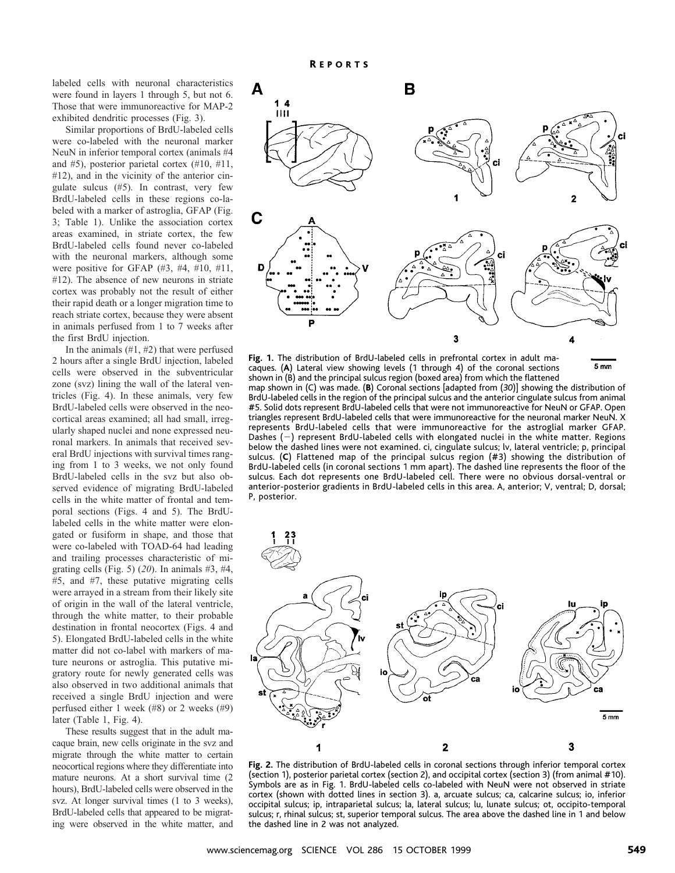labeled cells with neuronal characteristics were found in layers 1 through 5, but not 6. Those that were immunoreactive for MAP-2 exhibited dendritic processes (Fig. 3).

Similar proportions of BrdU-labeled cells were co-labeled with the neuronal marker NeuN in inferior temporal cortex (animals #4 and #5), posterior parietal cortex (#10, #11, #12), and in the vicinity of the anterior cingulate sulcus (#5). In contrast, very few BrdU-labeled cells in these regions co-labeled with a marker of astroglia, GFAP (Fig. 3; Table 1). Unlike the association cortex areas examined, in striate cortex, the few BrdU-labeled cells found never co-labeled with the neuronal markers, although some were positive for GFAP (#3, #4, #10, #11, #12). The absence of new neurons in striate cortex was probably not the result of either their rapid death or a longer migration time to reach striate cortex, because they were absent in animals perfused from 1 to 7 weeks after the first BrdU injection.

In the animals  $(\#1, \#2)$  that were perfused 2 hours after a single BrdU injection, labeled cells were observed in the subventricular zone (svz) lining the wall of the lateral ventricles (Fig. 4). In these animals, very few BrdU-labeled cells were observed in the neocortical areas examined; all had small, irregularly shaped nuclei and none expressed neuronal markers. In animals that received several BrdU injections with survival times ranging from 1 to 3 weeks, we not only found BrdU-labeled cells in the svz but also observed evidence of migrating BrdU-labeled cells in the white matter of frontal and temporal sections (Figs. 4 and 5). The BrdUlabeled cells in the white matter were elongated or fusiform in shape, and those that were co-labeled with TOAD-64 had leading and trailing processes characteristic of migrating cells (Fig. 5) (*20*). In animals #3, #4, #5, and #7, these putative migrating cells were arrayed in a stream from their likely site of origin in the wall of the lateral ventricle, through the white matter, to their probable destination in frontal neocortex (Figs. 4 and 5). Elongated BrdU-labeled cells in the white matter did not co-label with markers of mature neurons or astroglia. This putative migratory route for newly generated cells was also observed in two additional animals that received a single BrdU injection and were perfused either 1 week (#8) or 2 weeks (#9) later (Table 1, Fig. 4).

These results suggest that in the adult macaque brain, new cells originate in the svz and migrate through the white matter to certain neocortical regions where they differentiate into mature neurons. At a short survival time (2 hours), BrdU-labeled cells were observed in the svz. At longer survival times (1 to 3 weeks), BrdU-labeled cells that appeared to be migrating were observed in the white matter, and



**Fig. 1.** The distribution of BrdU-labeled cells in prefrontal cortex in adult ma- $5<sub>mn</sub>$ caques. (**A**) Lateral view showing levels (1 through 4) of the coronal sections shown in (B) and the principal sulcus region (boxed area) from which the flattened map shown in (C) was made. (**B**) Coronal sections [adapted from (*30*)] showing the distribution of BrdU-labeled cells in the region of the principal sulcus and the anterior cingulate sulcus from animal #5. Solid dots represent BrdU-labeled cells that were not immunoreactive for NeuN or GFAP. Open triangles represent BrdU-labeled cells that were immunoreactive for the neuronal marker NeuN. X represents BrdU-labeled cells that were immunoreactive for the astroglial marker GFAP. Dashes  $(-)$  represent BrdU-labeled cells with elongated nuclei in the white matter. Regions below the dashed lines were not examined. ci, cingulate sulcus; lv, lateral ventricle; p, principal sulcus. (**C**) Flattened map of the principal sulcus region (#3) showing the distribution of BrdU-labeled cells (in coronal sections 1 mm apart). The dashed line represents the floor of the sulcus. Each dot represents one BrdU-labeled cell. There were no obvious dorsal-ventral or anterior-posterior gradients in BrdU-labeled cells in this area. A, anterior; V, ventral; D, dorsal; P, posterior.



**Fig. 2.** The distribution of BrdU-labeled cells in coronal sections through inferior temporal cortex (section 1), posterior parietal cortex (section 2), and occipital cortex (section 3) (from animal #10). Symbols are as in Fig. 1. BrdU-labeled cells co-labeled with NeuN were not observed in striate cortex (shown with dotted lines in section 3). a, arcuate sulcus; ca, calcarine sulcus; io, inferior occipital sulcus; ip, intraparietal sulcus; la, lateral sulcus; lu, lunate sulcus; ot, occipito-temporal sulcus; r, rhinal sulcus; st, superior temporal sulcus. The area above the dashed line in 1 and below the dashed line in 2 was not analyzed.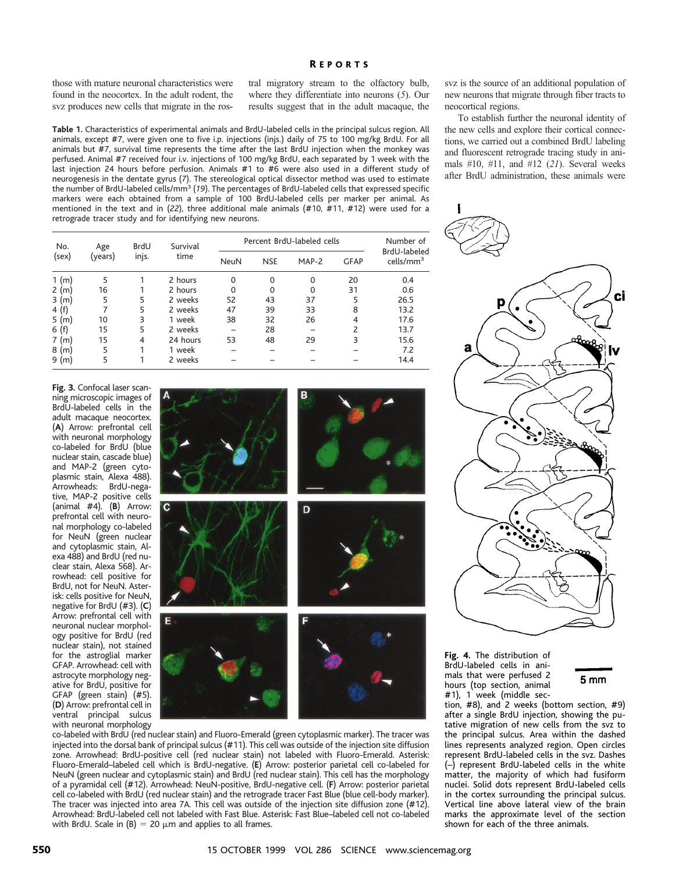## R EPORTS

those with mature neuronal characteristics were found in the neocortex. In the adult rodent, the svz produces new cells that migrate in the ros-

tral migratory stream to the olfactory bulb, where they differentiate into neurons (*5*). Our results suggest that in the adult macaque, the

**Table 1.** Characteristics of experimental animals and BrdU-labeled cells in the principal sulcus region. All animals, except #7, were given o animals but  $#7$ , survival time rep perfused. Animal #7 received four last injection 24 hours before pe neurogenesis in the dentate gyrus the number of BrdU-labeled cells/r markers were each obtained from a sample of 100 BrdU-labeled cells per marker per animal. As mentioned in the text and in (*22*), three additional male animals (#10, #11, #12) were used for a retrograde tracer study and for identifying new neurons.

| $n_{\rm c}$ and an extra and $n_{\rm d}$ and $n_{\rm c}$ and $n_{\rm c}$ and $n_{\rm c}$ and $n_{\rm c}$ and $n_{\rm c}$ | the new cens of  |
|--------------------------------------------------------------------------------------------------------------------------|------------------|
| ne to five i.p. injections (injs.) daily of 75 to 100 mg/kg BrdU. For all                                                | tions, we carri- |
| resents the time after the last BrdU injection when the monkey was                                                       | and fluorescen   |
| iv. injections of 100 mg/kg BrdU, each separated by 1 week with the                                                      | mals $#10, #1$   |
| erfusion. Animals #1 to #6 were also used in a different study of                                                        |                  |
| s (7). The stereological optical dissector method was used to estimate                                                   | after BrdU ad    |
| $\text{mm}^3$ (19). The percentages of BrdU-labeled cells that expressed specific                                        |                  |
| a cample of 100 Brdl Ishelad calls nor marker ner animal As                                                              |                  |

| No.<br>(sex)                     | Age<br>(years) | <b>BrdU</b><br>injs. | Survival<br>time | Percent BrdU-labeled cells |             |          |             | Number of                             |
|----------------------------------|----------------|----------------------|------------------|----------------------------|-------------|----------|-------------|---------------------------------------|
|                                  |                |                      |                  | <b>NeuN</b>                | <b>NSE</b>  | MAP-2    | <b>GFAP</b> | BrdU-labeled<br>cells/mm <sup>3</sup> |
| 1 (m)                            | 5              |                      | 2 hours          | 0                          | $\mathbf 0$ | $\Omega$ | 20          | 0.4                                   |
| $\mathsf{2}^{\mathsf{1}}$<br>(m) | 16             |                      | 2 hours          | 0                          | 0           | $\Omega$ | 31          | 0.6                                   |
| 3(m)                             | 5              | 5                    | 2 weeks          | 52                         | 43          | 37       | 5           | 26.5                                  |
| 4 (f)                            | 7              | 5                    | 2 weeks          | 47                         | 39          | 33       | 8           | 13.2                                  |
| 5 (m)                            | 10             | 3                    | 1 week           | 38                         | 32          | 26       | 4           | 17.6                                  |
| 6(f)                             | 15             | 5                    | 2 weeks          |                            | 28          |          | 2           | 13.7                                  |
| 7<br>(m)                         | 15             | $\overline{4}$       | 24 hours         | 53                         | 48          | 29       | 3           | 15.6                                  |
| 8<br>(m)                         | 5              |                      | 1 week           |                            |             |          |             | 7.2                                   |
| 9 (m)                            | 5              |                      | 2 weeks          |                            |             |          |             | 14.4                                  |

**Fig. 3.** Confocal laser scanning microscopic images of BrdU-labeled cells in the adult macaque neocortex. (**A**) Arrow: prefrontal cell with neuronal morphology co-labeled for BrdU (blue nuclear stain, cascade blue) and MAP-2 (green cytoplasmic stain, Alexa 488). Arrowheads: BrdU-negative, MAP-2 positive cells (animal #4). (**B**) Arrow: prefrontal cell with neuronal morphology co-labeled for NeuN (green nuclear and cytoplasmic stain, Alexa 488) and BrdU (red nuclear stain, Alexa 568). Arrowhead: cell positive for BrdU, not for NeuN. Asterisk: cells positive for NeuN, negative for BrdU (#3). (**C**) Arrow: prefrontal cell with neuronal nuclear morphology positive for BrdU (red nuclear stain), not stained for the astroglial marker GFAP. Arrowhead: cell with astrocyte morphology negative for BrdU, positive for GFAP (green stain) (#5). (**D**) Arrow: prefrontal cell in ventral principal sulcus with neuronal morphology



co-labeled with BrdU (red nuclear stain) and Fluoro-Emerald (green cytoplasmic marker). The tracer was injected into the dorsal bank of principal sulcus (#11). This cell was outside of the injection site diffusion zone. Arrowhead: BrdU-positive cell (red nuclear stain) not labeled with Fluoro-Emerald. Asterisk: Fluoro-Emerald–labeled cell which is BrdU-negative. (**E**) Arrow: posterior parietal cell co-labeled for NeuN (green nuclear and cytoplasmic stain) and BrdU (red nuclear stain). This cell has the morphology of a pyramidal cell (#12). Arrowhead: NeuN-positive, BrdU-negative cell. (**F**) Arrow: posterior parietal cell co-labeled with BrdU (red nuclear stain) and the retrograde tracer Fast Blue (blue cell-body marker). The tracer was injected into area 7A. This cell was outside of the injection site diffusion zone (#12). Arrowhead: BrdU-labeled cell not labeled with Fast Blue. Asterisk: Fast Blue–labeled cell not co-labeled with BrdU. Scale in  $(B) = 20 \mu m$  and applies to all frames.

svz is the source of an additional population of new neurons that migrate through fiber tracts to neocortical regions.

To establish further the neuronal identity of the new cells and explore their cortical conneced out a combined BrdU labeling and retrograde tracing study in ani-1, and  $#12$  (21). Several weeks lministration, these animals were



**Fig. 4.** The distribution of BrdU-labeled cells in animals that were perfused 2 hours (top section, animal #1), 1 week (middle sec-



tion, #8), and 2 weeks (bottom section, #9) after a single BrdU injection, showing the putative migration of new cells from the svz to the principal sulcus. Area within the dashed lines represents analyzed region. Open circles represent BrdU-labeled cells in the svz. Dashes (–) represent BrdU-labeled cells in the white matter, the majority of which had fusiform nuclei. Solid dots represent BrdU-labeled cells in the cortex surrounding the principal sulcus. Vertical line above lateral view of the brain marks the approximate level of the section shown for each of the three animals.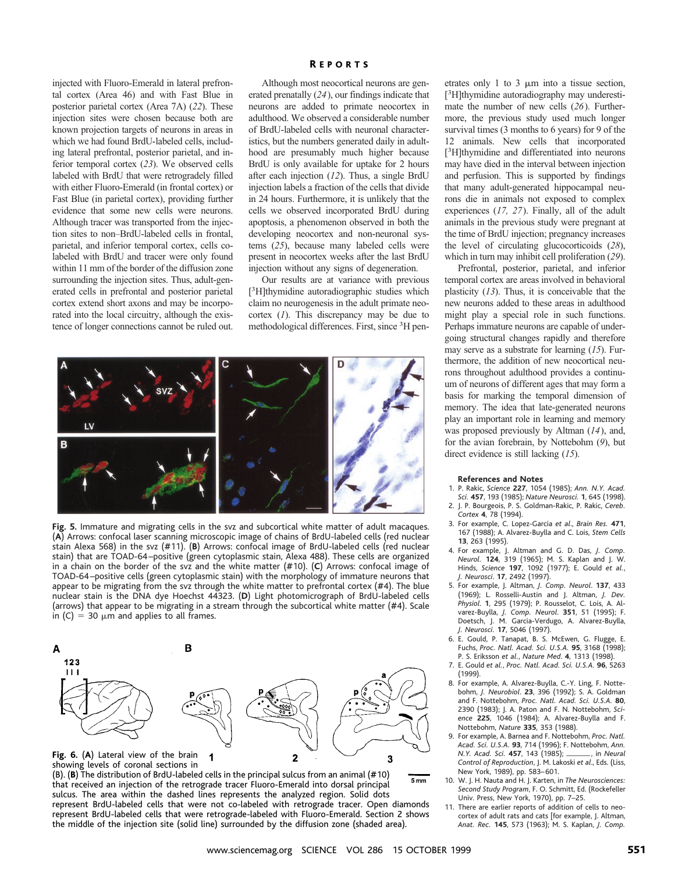injected with Fluoro-Emerald in lateral prefrontal cortex (Area 46) and with Fast Blue in posterior parietal cortex (Area 7A) (*22*). These injection sites were chosen because both are known projection targets of neurons in areas in which we had found BrdU-labeled cells, including lateral prefrontal, posterior parietal, and inferior temporal cortex (*23*). We observed cells labeled with BrdU that were retrogradely filled with either Fluoro-Emerald (in frontal cortex) or Fast Blue (in parietal cortex), providing further evidence that some new cells were neurons. Although tracer was transported from the injection sites to non–BrdU-labeled cells in frontal, parietal, and inferior temporal cortex, cells colabeled with BrdU and tracer were only found within 11 mm of the border of the diffusion zone surrounding the injection sites. Thus, adult-generated cells in prefrontal and posterior parietal cortex extend short axons and may be incorporated into the local circuitry, although the existence of longer connections cannot be ruled out.

### R EPORTS

Although most neocortical neurons are generated prenatally (*24*), our findings indicate that neurons are added to primate neocortex in adulthood. We observed a considerable number of BrdU-labeled cells with neuronal characteristics, but the numbers generated daily in adulthood are presumably much higher because BrdU is only available for uptake for 2 hours after each injection (*12*). Thus, a single BrdU injection labels a fraction of the cells that divide in 24 hours. Furthermore, it is unlikely that the cells we observed incorporated BrdU during apoptosis, a phenomenon observed in both the developing neocortex and non-neuronal systems (*25*), because many labeled cells were present in neocortex weeks after the last BrdU injection without any signs of degeneration.

Our results are at variance with previous [ 3 H]thymidine autoradiographic studies which claim no neurogenesis in the adult primate neocortex (*1*). This discrepancy may be due to methodological differences. First, since <sup>3</sup>H pen-



**Fig. 5.** Immature and migrating cells in the svz and subcortical white matter of adult macaques. (**A**) Arrows: confocal laser scanning microscopic image of chains of BrdU-labeled cells (red nuclear stain Alexa 568) in the svz (#11). (**B**) Arrows: confocal image of BrdU-labeled cells (red nuclear stain) that are TOAD-64–positive (green cytoplasmic stain, Alexa 488). These cells are organized in a chain on the border of the svz and the white matter (#10). (**C**) Arrows: confocal image of TOAD-64–positive cells (green cytoplasmic stain) with the morphology of immature neurons that appear to be migrating from the svz through the white matter to prefrontal cortex (#4). The blue nuclear stain is the DNA dye Hoechst 44323. (**D**) Light photomicrograph of BrdU-labeled cells (arrows) that appear to be migrating in a stream through the subcortical white matter (#4). Scale in  $(C) = 30 \mu m$  and applies to all frames.



showing levels of coronal sections in

(B). (**B**) The distribution of BrdU-labeled cells in the principal sulcus from an animal (#10)  $5<sub>mm</sub>$ that received an injection of the retrograde tracer Fluoro-Emerald into dorsal principal sulcus. The area within the dashed lines represents the analyzed region. Solid dots represent BrdU-labeled cells that were not co-labeled with retrograde tracer. Open diamonds represent BrdU-labeled cells that were retrograde-labeled with Fluoro-Emerald. Section 2 shows the middle of the injection site (solid line) surrounded by the diffusion zone (shaded area).

etrates only 1 to 3  $\mu$ m into a tissue section, [ 3 H]thymidine autoradiography may underestimate the number of new cells (*26*). Furthermore, the previous study used much longer survival times (3 months to 6 years) for 9 of the 12 animals. New cells that incorporated [ 3 H]thymidine and differentiated into neurons may have died in the interval between injection and perfusion. This is supported by findings that many adult-generated hippocampal neurons die in animals not exposed to complex experiences (*17, 27*). Finally, all of the adult animals in the previous study were pregnant at the time of BrdU injection; pregnancy increases the level of circulating glucocorticoids (*28*), which in turn may inhibit cell proliferation (*29*).

Prefrontal, posterior, parietal, and inferior temporal cortex are areas involved in behavioral plasticity (*13*). Thus, it is conceivable that the new neurons added to these areas in adulthood might play a special role in such functions. Perhaps immature neurons are capable of undergoing structural changes rapidly and therefore may serve as a substrate for learning (*15*). Furthermore, the addition of new neocortical neurons throughout adulthood provides a continuum of neurons of different ages that may form a basis for marking the temporal dimension of memory. The idea that late-generated neurons play an important role in learning and memory was proposed previously by Altman (*14*), and, for the avian forebrain, by Nottebohm (*9*), but direct evidence is still lacking (*15*).

#### **References and Notes**

- 1. P. Rakic, *Science* **227**, 1054 (1985); *Ann. N.Y. Acad. Sci.* **457**, 193 (1985); *Nature Neurosci.* **1**, 645 (1998).
- 2. J. P. Bourgeois, P. S. Goldman-Rakic, P. Rakic, *Cereb. Cortex* **4**, 78 (1994).
- 3. For example, C. Lopez-Garcia *et al*., *Brain Res.* **471**, 167 (1988); A. Alvarez-Buylla and C. Lois, *Stem Cells* **13**, 263 (1995).
- 4. For example, J. Altman and G. D. Das, *J. Comp. Neurol.* **124**, 319 (1965); M. S. Kaplan and J. W. Hinds, *Science* **197**, 1092 (1977); E. Gould *et al.*, *J. Neurosci*. **17**, 2492 (1997).
- 5. For example, J. Altman, *J. Comp. Neurol*. **137**, 433 (1969); L. Rosselli-Austin and J. Altman, *J. Dev. Physiol*. **1**, 295 (1979); P. Rousselot, C. Lois, A. Alvarez-Buylla, *J. Comp. Neurol*. **351**, 51 (1995); F. Doetsch, J. M. Garcia-Verdugo, A. Alvarez-Buylla, *J. Neurosci.* **17**, 5046 (1997).
- 6. E. Gould, P. Tanapat, B. S. McEwen, G. Flugge, E. Fuchs, *Proc. Natl. Acad. Sci. U.S.A.* **95**, 3168 (1998); P. S. Eriksson *et al.*, *Nature Med*. **4**, 1313 (1998).
- 7. E. Gould *et al.*, *Proc. Natl. Acad. Sci. U.S.A.* **96**, 5263 (1999).
- 8. For example, A. Alvarez-Buylla, C.-Y. Ling, F. Nottebohm, *J. Neurobiol*. **23**, 396 (1992); S. A. Goldman and F. Nottebohm, *Proc. Natl. Acad. Sci. U.S.A.* **80**, 2390 (1983); J. A. Paton and F. N. Nottebohm, *Science* **225**, 1046 (1984); A. Alvarez-Buylla and F. Nottebohm, *Nature* **335**, 353 (1988).
- 9. For example, A. Barnea and F. Nottebohm, *Proc. Natl. Acad. Sci. U.S.A.* **93**, 714 (1996); F. Nottebohm, *Ann. N.Y. Acad. Sci.* **<sup>457</sup>**, 143 (1985);iiii, in *Neural Control of Reproduction*, J. M. Lakoski *et al*., Eds. (Liss, New York, 1989), pp. 583–601.
- 10. W. J. H. Nauta and H. J. Karten, in *The Neurosciences: Second Study Program*, F. O. Schmitt, Ed. (Rockefeller Univ. Press, New York, 1970), pp. 7–25.
- 11. There are earlier reports of addition of cells to neocortex of adult rats and cats [for example, J. Altman, *Anat. Rec.* **145**, 573 (1963); M. S. Kaplan, *J. Comp.*